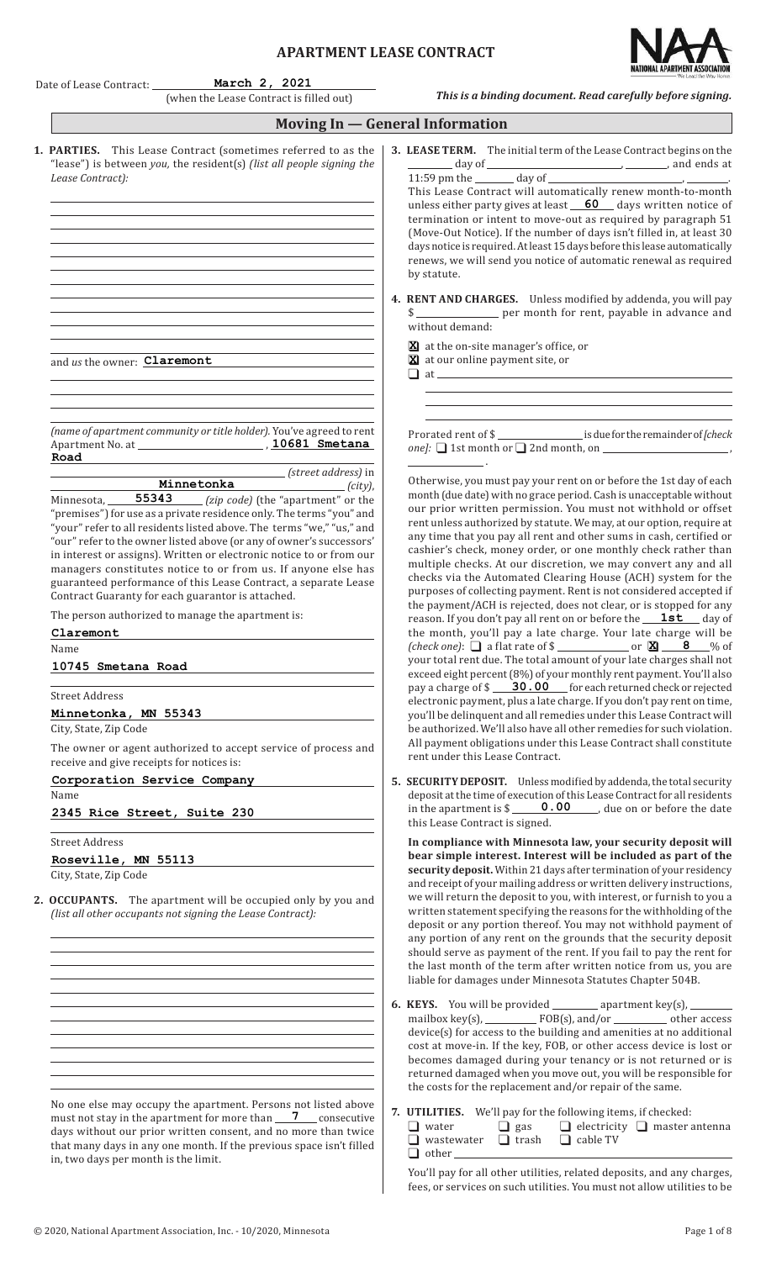# **APARTMENT LEASE CONTRACT**



|                                                                                                                   | Date of Lease Contract: March 2, 2021<br>(when the Lease Contract is filled out)                                                                                                                                                                                                                                                                                                                                                                                                                                                              | - We Lead the Way Hom<br>This is a binding document. Read carefully before signing.                                                                                                                                                                                                                                                                                                                                                                                                                                                                                                                                                                                                                     |
|-------------------------------------------------------------------------------------------------------------------|-----------------------------------------------------------------------------------------------------------------------------------------------------------------------------------------------------------------------------------------------------------------------------------------------------------------------------------------------------------------------------------------------------------------------------------------------------------------------------------------------------------------------------------------------|---------------------------------------------------------------------------------------------------------------------------------------------------------------------------------------------------------------------------------------------------------------------------------------------------------------------------------------------------------------------------------------------------------------------------------------------------------------------------------------------------------------------------------------------------------------------------------------------------------------------------------------------------------------------------------------------------------|
|                                                                                                                   |                                                                                                                                                                                                                                                                                                                                                                                                                                                                                                                                               | Moving In - General Information                                                                                                                                                                                                                                                                                                                                                                                                                                                                                                                                                                                                                                                                         |
| Lease Contract):                                                                                                  | 1. PARTIES. This Lease Contract (sometimes referred to as the<br>"lease") is between you, the resident(s) (list all people signing the<br><u> 1980 - Johann Barbara, martxa alemaniar argumento este alemaniar alemaniar alemaniar alemaniar alemaniar al</u>                                                                                                                                                                                                                                                                                 | 3. LEASE TERM. The initial term of the Lease Contract begins on the<br>$\frac{11:59 \text{ pm} \text{ the }$ and ends at $\frac{11:59 \text{ pm} \text{ the }$ and ends at<br>This Lease Contract will automatically renew month-to-month<br>unless either party gives at least 60 days written notice of<br>termination or intent to move-out as required by paragraph 51<br>(Move-Out Notice). If the number of days isn't filled in, at least 30<br>days notice is required. At least 15 days before this lease automatically<br>renews, we will send you notice of automatic renewal as required<br>by statute.                                                                                     |
|                                                                                                                   | the control of the control of the control of the control of the control of the control of<br><u> 1980 - Johann Barbara, martxa alemaniar argumento este alemaniar alemaniar alemaniar alemaniar alemaniar al</u><br>and us the owner: <b>Claremont</b>                                                                                                                                                                                                                                                                                        | 4. RENT AND CHARGES. Unless modified by addenda, you will pay<br>\$ ________________ per month for rent, payable in advance and<br>without demand:<br>X at the on-site manager's office, or<br><b>X</b> at our online payment site, or<br>the control of the control of the control of the control of the control of the control of the control of the control of the control of the control of the control of the control of the control of the control of the control                                                                                                                                                                                                                                 |
| Road                                                                                                              | (name of apartment community or title holder). You've agreed to rent<br>(street address) in<br>Minnetonka (city),                                                                                                                                                                                                                                                                                                                                                                                                                             | Prorated rent of \$<br>one]: $\Box$ 1st month or $\Box$ 2nd month, on $\Box$<br>and the contract of the con-<br>Otherwise, you must pay your rent on or before the 1st day of each                                                                                                                                                                                                                                                                                                                                                                                                                                                                                                                      |
|                                                                                                                   | Minnesota, 55343 (zip code) (the "apartment" or the<br>"premises") for use as a private residence only. The terms "you" and<br>"your" refer to all residents listed above. The terms "we," "us," and<br>"our" refer to the owner listed above (or any of owner's successors'<br>in interest or assigns). Written or electronic notice to or from our<br>managers constitutes notice to or from us. If anyone else has<br>guaranteed performance of this Lease Contract, a separate Lease<br>Contract Guaranty for each guarantor is attached. | month (due date) with no grace period. Cash is unacceptable without<br>our prior written permission. You must not withhold or offset<br>rent unless authorized by statute. We may, at our option, require at<br>any time that you pay all rent and other sums in cash, certified or<br>cashier's check, money order, or one monthly check rather than<br>multiple checks. At our discretion, we may convert any and all<br>checks via the Automated Clearing House (ACH) system for the<br>purposes of collecting payment. Rent is not considered accepted if<br>the payment/ACH is rejected, does not clear, or is stopped for any                                                                     |
| Claremont<br>Name<br>10745 Smetana Road<br><b>Street Address</b><br>Minnetonka, MN 55343<br>City, State, Zip Code | The person authorized to manage the apartment is:                                                                                                                                                                                                                                                                                                                                                                                                                                                                                             | reason. If you don't pay all rent on or before the <b>1st</b> day of<br>the month, you'll pay a late charge. Your late charge will be<br>(check one): $\Box$ a flat rate of \$<br>your total rent due. The total amount of your late charges shall not<br>exceed eight percent (8%) of your monthly rent payment. You'll also<br>pay a charge of \$ ____ 30.00 ___ for each returned check or rejected<br>electronic payment, plus a late charge. If you don't pay rent on time,<br>you'll be delinquent and all remedies under this Lease Contract will<br>be authorized. We'll also have all other remedies for such violation.<br>All payment obligations under this Lease Contract shall constitute |
| receive and give receipts for notices is:<br>Corporation Service Company<br>Name                                  | The owner or agent authorized to accept service of process and                                                                                                                                                                                                                                                                                                                                                                                                                                                                                | rent under this Lease Contract.<br>5. SECURITY DEPOSIT. Unless modified by addenda, the total security<br>deposit at the time of execution of this Lease Contract for all residents<br>in the apartment is $\frac{\sqrt{0.00}}{\sqrt{0.00}}$ , due on or before the date                                                                                                                                                                                                                                                                                                                                                                                                                                |
| 2345 Rice Street, Suite 230<br><b>Street Address</b><br>Roseville, MN 55113<br>City, State, Zip Code              |                                                                                                                                                                                                                                                                                                                                                                                                                                                                                                                                               | this Lease Contract is signed.<br>In compliance with Minnesota law, your security deposit will<br>bear simple interest. Interest will be included as part of the<br>security deposit. Within 21 days after termination of your residency                                                                                                                                                                                                                                                                                                                                                                                                                                                                |
|                                                                                                                   | 2. OCCUPANTS. The apartment will be occupied only by you and<br>(list all other occupants not signing the Lease Contract):                                                                                                                                                                                                                                                                                                                                                                                                                    | and receipt of your mailing address or written delivery instructions,<br>we will return the deposit to you, with interest, or furnish to you a<br>written statement specifying the reasons for the withholding of the<br>deposit or any portion thereof. You may not withhold payment of<br>any portion of any rent on the grounds that the security deposit<br>should serve as payment of the rent. If you fail to pay the rent for<br>the last month of the term after written notice from us, you are<br>liable for damages under Minnesota Statutes Chapter 504B.                                                                                                                                   |
|                                                                                                                   |                                                                                                                                                                                                                                                                                                                                                                                                                                                                                                                                               | 6. KEYS. You will be provided __________ apartment key(s), ________<br>device(s) for access to the building and amenities at no additional<br>cost at move-in. If the key, FOB, or other access device is lost or<br>becomes damaged during your tenancy or is not returned or is<br>returned damaged when you move out, you will be responsible for<br>the costs for the replacement and/or repair of the same.                                                                                                                                                                                                                                                                                        |
| in two days ner month is the limit                                                                                | No one else may occupy the apartment. Persons not listed above<br>must not stay in the apartment for more than <u>7</u> consecutive<br>days without our prior written consent, and no more than twice<br>that many days in any one month. If the previous space isn't filled                                                                                                                                                                                                                                                                  | 7. UTILITIES. We'll pay for the following items, if checked:<br>$\Box$ electricity $\Box$ master antenna<br>$\Box$ gas<br>$\Box$ water<br>$\Box$ wastewater $\Box$ trash<br>$\Box$ cable TV<br>$\Box$ other $\Box$                                                                                                                                                                                                                                                                                                                                                                                                                                                                                      |

in, two days per month is the limit.

You'll pay for all other utilities, related deposits, and any charges, fees, or services on such utilities. You must not allow utilities to be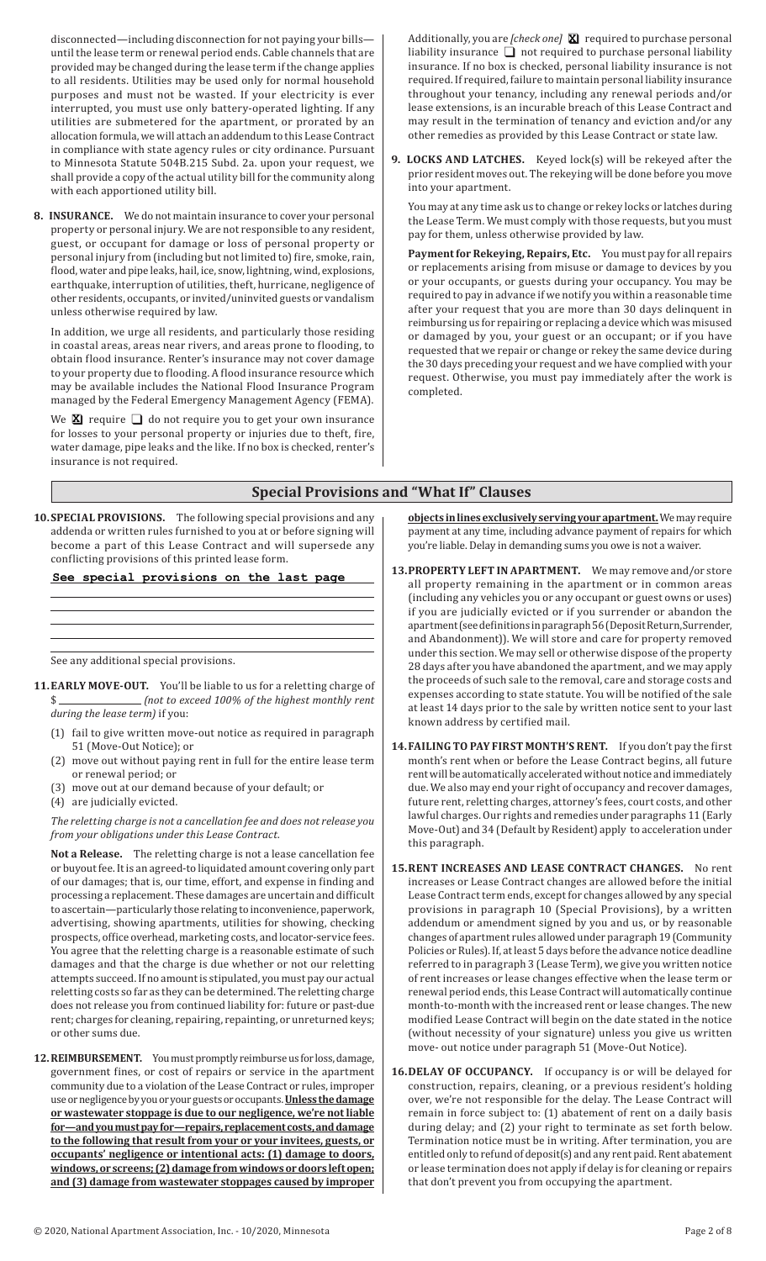disconnected—including disconnection for not paying your bills until the lease term or renewal period ends. Cable channels that are provided may be changed during the lease term ifthe change applies to all residents. Utilities may be used only for normal household purposes and must not be wasted. If your electricity is ever interrupted, you must use only battery-operated lighting. If any utilities are submetered for the apartment, or prorated by an allocation formula, we will attach an addendum to this Lease Contract in compliance with state agency rules or city ordinance. Pursuant to Minnesota Statute 504B.215 Subd. 2a. upon your request, we shall provide a copy of the actual utility bill for the community along with each apportioned utility bill.

**8. INSURANCE.** We do not maintain insurance to cover your personal property or personal injury. We are not responsible to any resident, guest, or occupant for damage or loss of personal property or personal injury from (including but not limited to) fire, smoke, rain, flood, water and pipe leaks, hail, ice, snow, lightning, wind, explosions, earthquake, interruption of utilities, theft, hurricane, negligence of other residents, occupants, or invited/uninvited guests or vandalism unless otherwise required by law.

In addition, we urge all residents, and particularly those residing in coastal areas, areas near rivers, and areas prone to flooding, to obtain flood insurance. Renter's insurance may not cover damage to your property due to flooding. A flood insurance resource which may be available includes the National Flood Insurance Program managed by the Federal Emergency Management Agency (FEMA).

We  $\boxtimes$  require  $\Box$  do not require you to get your own insurance for losses to your personal property or injuries due to theft, fire, water damage, pipe leaks and the like. If no box is checked, renter's insurance is not required.

Additionally, you are *[check one]* required to purchase personal **X** liability insurance  $\Box$  not required to purchase personal liability insurance. If no box is checked, personal liability insurance is not required. If required, failure to maintain personal liability insurance throughout your tenancy, including any renewal periods and/or lease extensions, is an incurable breach of this Lease Contract and may result in the termination of tenancy and eviction and/or any other remedies as provided by this Lease Contract or state law.

**9. LOCKS AND LATCHES.** Keyed lock(s) will be rekeyed after the prior resident moves out. The rekeying will be done before you move into your apartment.

You may at any time ask us to change or rekey locks or latches during the Lease Term. We must comply with those requests, but you must pay for them, unless otherwise provided by law.

**Payment for Rekeying, Repairs, Etc.** You must pay for all repairs or replacements arising from misuse or damage to devices by you or your occupants, or guests during your occupancy. You may be required to pay in advance if we notify you within a reasonable time after your request that you are more than 30 days delinquent in reimbursing us for repairing or replacing a device which was misused or damaged by you, your guest or an occupant; or if you have requested that we repair or change or rekey the same device during the 30 days preceding your request and we have complied with your request. Otherwise, you must pay immediately after the work is completed.

## **Special Provisions and "What If" Clauses**

**10.SPECIAL PROVISIONS.** The following special provisions and any addenda or written rules furnished to you at or before signing will become a part of this Lease Contract and will supersede any conflicting provisions of this printed lease form.

**See special provisions on the last page**

See any additional special provisions.

- **11.EARLY MOVE-OUT.** You'll be liable to us for a reletting charge of \$ *(not to exceed 100% of the highest monthly rent during the lease term)* if you:
	- (1) fail to give written move-out notice as required in paragraph 51 (Move-Out Notice); or
	- (2) move out without paying rent in full for the entire lease term or renewal period; or
	- (3) move out at our demand because of your default; or
	- (4) are judicially evicted.

*The reletting charge is not a cancellation fee and does not release you from your obligations under this Lease Contract.*

**Not a Release.** The reletting charge is not a lease cancellation fee or buyout fee. It is an agreed-to liquidated amount covering only part of our damages; that is, our time, effort, and expense in finding and processing a replacement. These damages are uncertain and difficult to ascertain—particularly those relating to inconvenience, paperwork, advertising, showing apartments, utilities for showing, checking prospects, office overhead, marketing costs, and locator-service fees. You agree that the reletting charge is a reasonable estimate of such damages and that the charge is due whether or not our reletting attempts succeed. If no amount is stipulated, you must pay our actual reletting costs so far as they can be determined. The reletting charge does not release you from continued liability for: future or past-due rent; charges for cleaning, repairing, repainting, or unreturned keys; or other sums due.

12. REIMBURSEMENT. You must promptly reimburse us for loss, damage, government fines, or cost of repairs or service in the apartment community due to a violation of the Lease Contract or rules, improper useornegligencebyyouoryourguestsoroccupants.**Unless the damage or wastewater stoppage is due to our negligence, we're not liable for—and you must pay for—repairs, replacement costs, and damage to the following that result from your or your invitees, guests, or occupants' negligence or intentional acts: (1) damage to doors, windows, or screens; (2) damage from windows or doors left open; and (3) damage from wastewater stoppages caused by improper**  **objects in lines exclusively serving your apartment.**Wemay require payment at any time, including advance payment of repairs for which you're liable. Delay in demanding sums you owe is not a waiver.

- **13.PROPERTY LEFT IN APARTMENT.** We may remove and/or store all property remaining in the apartment or in common areas (including any vehicles you or any occupant or guest owns or uses) if you are judicially evicted or if you surrender or abandon the apartment(seedefinitions inparagraph56(DepositReturn,Surrender, and Abandonment)). We will store and care for property removed under this section. We may sell or otherwise dispose of the property 28 days after you have abandoned the apartment, and we may apply the proceeds of such sale to the removal, care and storage costs and expenses according to state statute. You will be notified of the sale at least 14 days prior to the sale by written notice sent to your last known address by certified mail.
- **14.FAILING TO PAY FIRST MONTH'S RENT.** If you don't pay the first month's rent when or before the Lease Contract begins, all future rent will be automatically accelerated without notice and immediately due. We also may end your right of occupancy and recover damages, future rent, reletting charges, attorney's fees, court costs, and other lawful charges. Our rights and remedies under paragraphs 11 (Early Move-Out) and 34 (Default by Resident) apply to acceleration under this paragraph.
- **15.RENT INCREASES AND LEASE CONTRACT CHANGES.** No rent increases or Lease Contract changes are allowed before the initial Lease Contract term ends, except for changes allowed by any special provisions in paragraph 10 (Special Provisions), by a written addendum or amendment signed by you and us, or by reasonable changes of apartment rules allowed under paragraph 19 (Community Policies or Rules).If, atleast 5 days before the advance notice deadline referred to in paragraph 3 (Lease Term), we give you written notice of rent increases or lease changes effective when the lease term or renewal period ends, this Lease Contract will automatically continue month-to-month with the increased rent or lease changes. The new modified Lease Contract will begin on the date stated in the notice (without necessity of your signature) unless you give us written move- out notice under paragraph 51 (Move-Out Notice).
- **16.DELAY OF OCCUPANCY.** If occupancy is or will be delayed for construction, repairs, cleaning, or a previous resident's holding over, we're not responsible for the delay. The Lease Contract will remain in force subject to: (1) abatement of rent on a daily basis during delay; and (2) your right to terminate as set forth below. Termination notice must be in writing. After termination, you are entitled only to refund of deposit(s) and any rent paid. Rent abatement or lease termination does not apply if delay is for cleaning or repairs that don't prevent you from occupying the apartment.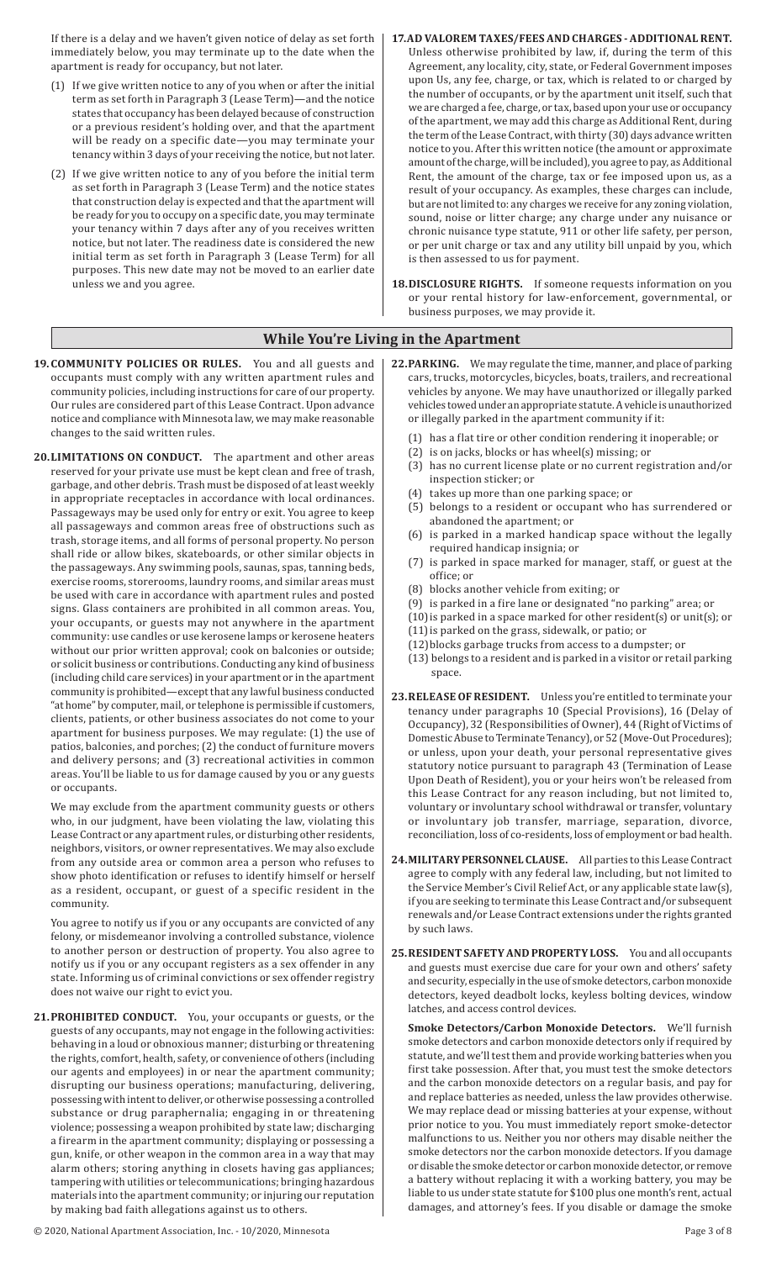If there is a delay and we haven't given notice of delay as set forth immediately below, you may terminate up to the date when the apartment is ready for occupancy, but not later.

- $(1)$  If we give written notice to any of you when or after the initial term as set forth in Paragraph 3 (Lease Term)—and the notice states that occupancy has been delayed because of construction or a previous resident's holding over, and that the apartment will be ready on a specific date—you may terminate your tenancy within 3 days of your receiving the notice, but not later.
- (2) If we give written notice to any of you before the initial term as set forth in Paragraph 3 (Lease Term) and the notice states that construction delay is expected and that the apartment will be ready for you to occupy on a specific date, you may terminate your tenancy within 7 days after any of you receives written notice, but not later. The readiness date is considered the new initial term as set forth in Paragraph 3 (Lease Term) for all purposes. This new date may not be moved to an earlier date unless we and you agree.

#### **17.AD VALOREM TAXES/FEES AND CHARGES - ADDITIONAL RENT.**

- Unless otherwise prohibited by law, if, during the term of this Agreement, any locality, city, state, or Federal Government imposes upon Us, any fee, charge, or tax, which is related to or charged by the number of occupants, or by the apartment unit itself, such that we are charged a fee, charge, or tax, based upon your use or occupancy of the apartment, we may add this charge as Additional Rent, during the term ofthe Lease Contract, with thirty (30) days advance written notice to you. After this written notice (the amount or approximate amount of the charge, will be included), you agree to pay, as Additional Rent, the amount of the charge, tax or fee imposed upon us, as a result of your occupancy. As examples, these charges can include, but are not limited to: any charges we receive for any zoning violation, sound, noise or litter charge; any charge under any nuisance or chronic nuisance type statute, 911 or other life safety, per person, or per unit charge or tax and any utility bill unpaid by you, which is then assessed to us for payment.
- **18.DISCLOSURE RIGHTS.** If someone requests information on you or your rental history for law-enforcement, governmental, or business purposes, we may provide it.

## **While You're Living in the Apartment**

- **19.COMMUNITY POLICIES OR RULES.** You and all guests and occupants must comply with any written apartment rules and community policies, including instructions for care of our property. Our rules are considered part of this Lease Contract. Upon advance notice and compliance with Minnesota law, we may make reasonable changes to the said written rules.
- **20.LIMITATIONS ON CONDUCT.** The apartment and other areas reserved for your private use must be kept clean and free of trash, garbage, and other debris. Trash must be disposed of at least weekly in appropriate receptacles in accordance with local ordinances. Passageways may be used only for entry or exit. You agree to keep all passageways and common areas free of obstructions such as trash, storage items, and all forms of personal property. No person shall ride or allow bikes, skateboards, or other similar objects in the passageways. Any swimming pools, saunas, spas, tanning beds, exercise rooms, storerooms, laundry rooms, and similar areas must be used with care in accordance with apartment rules and posted signs. Glass containers are prohibited in all common areas. You, your occupants, or guests may not anywhere in the apartment community: use candles or use kerosene lamps or kerosene heaters without our prior written approval; cook on balconies or outside; or solicit business or contributions. Conducting any kind of business (including child care services)in your apartment or in the apartment community is prohibited—exceptthat any lawful business conducted "at home" by computer, mail, or telephone is permissible if customers, clients, patients, or other business associates do not come to your apartment for business purposes. We may regulate: (1) the use of patios, balconies, and porches; (2) the conduct of furniture movers and delivery persons; and (3) recreational activities in common areas. You'll be liable to us for damage caused by you or any guests or occupants.

We may exclude from the apartment community guests or others who, in our judgment, have been violating the law, violating this Lease Contract or any apartment rules, or disturbing other residents, neighbors, visitors, or owner representatives. We may also exclude from any outside area or common area a person who refuses to show photo identification or refuses to identify himself or herself as a resident, occupant, or guest of a specific resident in the community.

You agree to notify us if you or any occupants are convicted of any felony, or misdemeanor involving a controlled substance, violence to another person or destruction of property. You also agree to notify us if you or any occupant registers as a sex offender in any state. Informing us of criminal convictions or sex offender registry does not waive our right to evict you.

- **21.PROHIBITED CONDUCT.** You, your occupants or guests, or the guests of any occupants, may not engage in the following activities: behaving in a loud or obnoxious manner; disturbing or threatening the rights, comfort, health, safety, or convenience of others (including our agents and employees) in or near the apartment community; disrupting our business operations; manufacturing, delivering, possessing with intent to deliver, or otherwise possessing a controlled substance or drug paraphernalia; engaging in or threatening violence; possessing a weapon prohibited by state law; discharging a firearm in the apartment community; displaying or possessing a gun, knife, or other weapon in the common area in a way that may alarm others; storing anything in closets having gas appliances; tampering with utilities or telecommunications; bringing hazardous materials into the apartment community; or injuring our reputation by making bad faith allegations against us to others.
- © 2020, National Apartment Association, Inc. 10/2020, Minnesota Page 3 of 8
- **22.PARKING.** We may regulate the time, manner, and place of parking cars, trucks, motorcycles, bicycles, boats, trailers, and recreational vehicles by anyone. We may have unauthorized or illegally parked vehicles towed under anappropriate statute.Avehicle is unauthorized or illegally parked in the apartment community if it:
	- (1) has a flat tire or other condition rendering it inoperable; or
	- (2) is on jacks, blocks or has wheel(s) missing; or
	- (3) has no current license plate or no current registration and/or inspection sticker; or
	- (4) takes up more than one parking space; or
	- (5) belongs to a resident or occupant who has surrendered or abandoned the apartment; or
	- (6) is parked in a marked handicap space without the legally required handicap insignia; or
	- (7) is parked in space marked for manager, staff, or guest at the office; or
	- (8) blocks another vehicle from exiting; or
	- (9) is parked in a fire lane or designated "no parking" area; or
	- (10) is parked in a space marked for other resident(s) or unit(s); or
	- (11) is parked on the grass, sidewalk, or patio; or
	- (12) blocks garbage trucks from access to a dumpster; or
	- (13) belongs to a resident and is parked in a visitor or retail parking space.
- **23.RELEASE OF RESIDENT.** Unless you're entitled to terminate your tenancy under paragraphs 10 (Special Provisions), 16 (Delay of Occupancy), 32 (Responsibilities of Owner), 44 (Right of Victims of DomesticAbuse to Terminate Tenancy), or 52 (Move-Out Procedures); or unless, upon your death, your personal representative gives statutory notice pursuant to paragraph 43 (Termination of Lease Upon Death of Resident), you or your heirs won't be released from this Lease Contract for any reason including, but not limited to, voluntary or involuntary school withdrawal or transfer, voluntary or involuntary job transfer, marriage, separation, divorce, reconciliation, loss of co-residents, loss of employment or bad health.
- **24.MILITARY PERSONNEL CLAUSE.** All parties to this Lease Contract agree to comply with any federal law, including, but not limited to the Service Member's Civil Relief Act, or any applicable state law(s), if you are seeking to terminate this Lease Contract and/or subsequent renewals and/or Lease Contract extensions under the rights granted by such laws.
- **25.RESIDENT SAFETY AND PROPERTY LOSS.** You and all occupants and guests must exercise due care for your own and others' safety and security, especially in the use of smoke detectors, carbon monoxide detectors, keyed deadbolt locks, keyless bolting devices, window latches, and access control devices.

**Smoke Detectors/Carbon Monoxide Detectors.** We'll furnish smoke detectors and carbon monoxide detectors only if required by statute, and we'll test them and provide working batteries when you first take possession. After that, you must test the smoke detectors and the carbon monoxide detectors on a regular basis, and pay for and replace batteries as needed, unless the law provides otherwise. We may replace dead or missing batteries at your expense, without prior notice to you. You must immediately report smoke-detector malfunctions to us. Neither you nor others may disable neither the smoke detectors nor the carbon monoxide detectors. If you damage or disable the smoke detector or carbon monoxide detector, or remove a battery without replacing it with a working battery, you may be liable to us under state statute for \$100 plus one month's rent, actual damages, and attorney's fees. If you disable or damage the smoke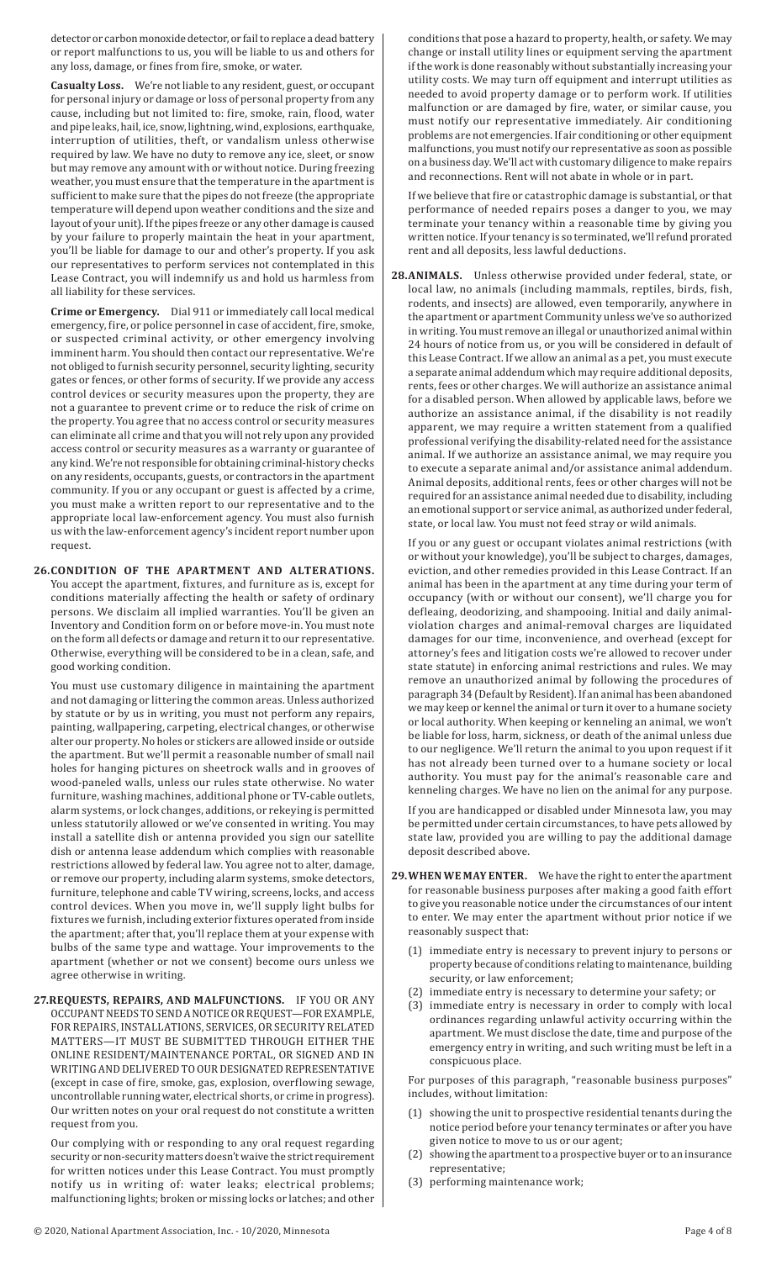detector or carbon monoxide detector, or fail to replace a dead battery or report malfunctions to us, you will be liable to us and others for any loss, damage, or fines from fire, smoke, or water.

**Casualty Loss.** We're not liable to any resident, guest, or occupant for personal injury or damage or loss of personal property from any cause, including but not limited to: fire, smoke, rain, flood, water and pipe leaks, hail, ice, snow, lightning,wind, explosions, earthquake, interruption of utilities, theft, or vandalism unless otherwise required by law. We have no duty to remove any ice, sleet, or snow but may remove any amount with or without notice. During freezing weather, you must ensure that the temperature in the apartment is sufficient to make sure that the pipes do not freeze (the appropriate temperature will depend upon weather conditions and the size and layout of your unit). Ifthe pipes freeze or any other damage is caused by your failure to properly maintain the heat in your apartment, you'll be liable for damage to our and other's property. If you ask our representatives to perform services not contemplated in this Lease Contract, you will indemnify us and hold us harmless from all liability for these services.

**Crime or Emergency.** Dial 911 or immediately call local medical emergency, fire, or police personnel in case of accident, fire, smoke, or suspected criminal activity, or other emergency involving imminent harm. You should then contact our representative. We're not obliged to furnish security personnel, security lighting, security gates or fences, or other forms of security. If we provide any access control devices or security measures upon the property, they are not a guarantee to prevent crime or to reduce the risk of crime on the property. You agree that no access control or security measures can eliminate all crime and that you will not rely upon any provided access control or security measures as a warranty or guarantee of any kind. We're not responsible for obtaining criminal-history checks on any residents, occupants, guests, or contractors in the apartment community. If you or any occupant or guest is affected by a crime, you must make a written report to our representative and to the appropriate local law-enforcement agency. You must also furnish us with the law-enforcement agency's incident report number upon request.

### **26.CONDITION OF THE APARTMENT AND ALTERATIONS.**

You accept the apartment, fixtures, and furniture as is, except for conditions materially affecting the health or safety of ordinary persons. We disclaim all implied warranties. You'll be given an Inventory and Condition form on or before move-in. You must note on the form all defects or damage and return it to our representative. Otherwise, everything will be considered to be in a clean, safe, and good working condition.

You must use customary diligence in maintaining the apartment and not damaging or littering the common areas. Unless authorized by statute or by us in writing, you must not perform any repairs, painting, wallpapering, carpeting, electrical changes, or otherwise alter our property.No holes or stickers are allowed inside or outside the apartment. But we'll permit a reasonable number of small nail holes for hanging pictures on sheetrock walls and in grooves of wood-paneled walls, unless our rules state otherwise. No water furniture, washing machines, additional phone or TV-cable outlets, alarm systems, or lock changes, additions, or rekeying is permitted unless statutorily allowed or we've consented in writing. You may install a satellite dish or antenna provided you sign our satellite dish or antenna lease addendum which complies with reasonable restrictions allowed by federal law. You agree not to alter, damage, or remove our property, including alarm systems, smoke detectors, furniture, telephone and cable TV wiring, screens, locks, and access control devices. When you move in, we'll supply light bulbs for fixtures we furnish, including exterior fixtures operated from inside the apartment; after that, you'll replace them at your expense with bulbs of the same type and wattage. Your improvements to the apartment (whether or not we consent) become ours unless we agree otherwise in writing.

**27.REQUESTS, REPAIRS, AND MALFUNCTIONS.** IF YOU OR ANY OCCUPANT NEEDS TO SEND A NOTICE OR REQUEST-FOR EXAMPLE, FOR REPAIRS, INSTALLATIONS, SERVICES, OR SECURITY RELATED MATTERS—IT MUST BE SUBMITTED THROUGH EITHER THE ONLINE RESIDENT/MAINTENANCE PORTAL, OR SIGNED AND IN WRITING AND DELIVERED TO OUR DESIGNATED REPRESENTATIVE (except in case of fire, smoke, gas, explosion, overflowing sewage, uncontrollable running water, electrical shorts, or crime in progress). Our written notes on your oral request do not constitute a written request from you.

Our complying with or responding to any oral request regarding security or non-security matters doesn't waive the strict requirement for written notices under this Lease Contract. You must promptly notify us in writing of: water leaks; electrical problems; malfunctioning lights; broken or missing locks or latches; and other conditions that pose a hazard to property, health, or safety. We may change or install utility lines or equipment serving the apartment ifthe work is done reasonably without substantially increasing your utility costs. We may turn off equipment and interrupt utilities as needed to avoid property damage or to perform work. If utilities malfunction or are damaged by fire, water, or similar cause, you must notify our representative immediately. Air conditioning problems are not emergencies. If air conditioning or other equipment malfunctions, you must notify our representative as soon as possible on a business day. We'll act with customary diligence to make repairs and reconnections. Rent will not abate in whole or in part.

If we believe that fire or catastrophic damage is substantial, or that performance of needed repairs poses a danger to you, we may terminate your tenancy within a reasonable time by giving you written notice. If your tenancy is so terminated, we'll refund prorated rent and all deposits, less lawful deductions.

**28.ANIMALS.** Unless otherwise provided under federal, state, or local law, no animals (including mammals, reptiles, birds, fish, rodents, and insects) are allowed, even temporarily, anywhere in the apartment or apartment Community unless we've so authorized in writing. You must remove an illegal or unauthorized animal within 24 hours of notice from us, or you will be considered in default of this Lease Contract. If we allow an animal as a pet, you must execute a separate animal addendum which may require additional deposits, rents, fees or other charges. We will authorize an assistance animal for a disabled person. When allowed by applicable laws, before we authorize an assistance animal, if the disability is not readily apparent, we may require a written statement from a qualified professional verifying the disability-related need for the assistance animal. If we authorize an assistance animal, we may require you to execute a separate animal and/or assistance animal addendum. Animal deposits, additional rents, fees or other charges will not be required for an assistance animal needed due to disability, including an emotional support or service animal, as authorized under federal, state, or local law. You must not feed stray or wild animals.

If you or any guest or occupant violates animal restrictions (with or without your knowledge), you'll be subject to charges, damages, eviction, and other remedies provided in this Lease Contract. If an animal has been in the apartment at any time during your term of occupancy (with or without our consent), we'll charge you for defleaing, deodorizing, and shampooing. Initial and daily animalviolation charges and animal-removal charges are liquidated damages for our time, inconvenience, and overhead (except for attorney's fees and litigation costs we're allowed to recover under state statute) in enforcing animal restrictions and rules. We may remove an unauthorized animal by following the procedures of paragraph 34 (Default by Resident). If an animal has been abandoned we may keep or kennel the animal or turn it over to a humane society or local authority. When keeping or kenneling an animal, we won't be liable for loss, harm, sickness, or death of the animal unless due to our negligence. We'll return the animal to you upon request if it has not already been turned over to a humane society or local authority. You must pay for the animal's reasonable care and kenneling charges. We have no lien on the animal for any purpose.

If you are handicapped or disabled under Minnesota law, you may be permitted under certain circumstances, to have pets allowed by state law, provided you are willing to pay the additional damage deposit described above.

- **29.WHEN WE MAY ENTER.** We have the right to enter the apartment for reasonable business purposes after making a good faith effort to give you reasonable notice under the circumstances of our intent to enter. We may enter the apartment without prior notice if we reasonably suspect that:
	- (1) immediate entry is necessary to prevent injury to persons or property because of conditions relating to maintenance, building security, or law enforcement;
	- (2) immediate entry is necessary to determine your safety; or
	- (3) immediate entry is necessary in order to comply with local ordinances regarding unlawful activity occurring within the apartment. We must disclose the date, time and purpose of the emergency entry in writing, and such writing must be left in a conspicuous place.

For purposes of this paragraph, "reasonable business purposes" includes, without limitation:

- (1) showing the unit to prospective residential tenants during the notice period before your tenancy terminates or after you have given notice to move to us or our agent;
- (2) showing the apartment to a prospective buyer or to an insurance representative;
- (3) performing maintenance work;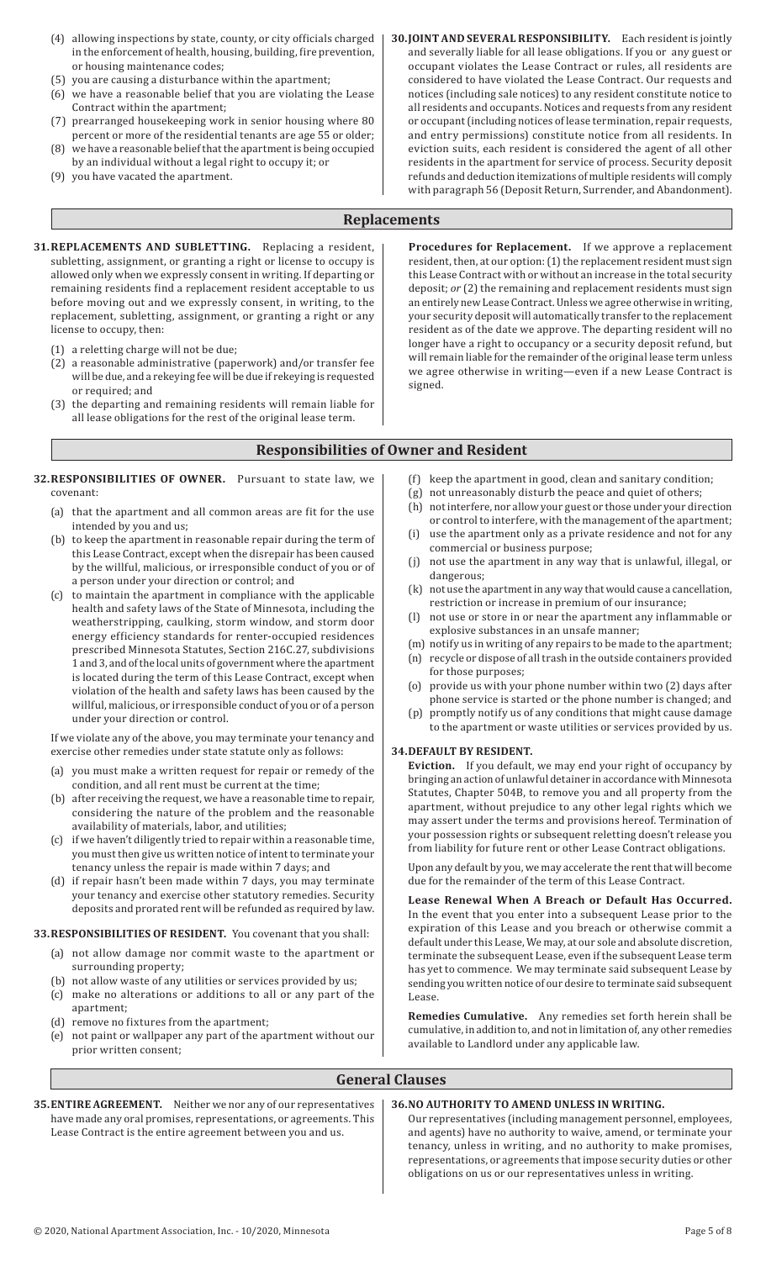- (4) allowing inspections by state, county, or city officials charged in the enforcement of health, housing, building, fire prevention, or housing maintenance codes;
- (5) you are causing a disturbance within the apartment;
- (6) we have a reasonable belief that you are violating the Lease Contract within the apartment;
- (7) prearranged housekeeping work in senior housing where 80 percent or more of the residential tenants are age 55 or older;
- (8) we have a reasonable belief that the apartment is being occupied by an individual without a legal right to occupy it; or
- (9) you have vacated the apartment.

**30.JOINT AND SEVERAL RESPONSIBILITY.** Each resident is jointly and severally liable for all lease obligations. If you or any guest or occupant violates the Lease Contract or rules, all residents are considered to have violated the Lease Contract. Our requests and notices (including sale notices) to any resident constitute notice to all residents and occupants. Notices and requests from any resident or occupant (including notices of lease termination, repair requests, and entry permissions) constitute notice from all residents. In eviction suits, each resident is considered the agent of all other residents in the apartment for service of process. Security deposit refunds and deduction itemizations of multiple residents will comply with paragraph 56 (Deposit Return, Surrender, and Abandonment).

## **Replacements**

- **31.REPLACEMENTS AND SUBLETTING.** Replacing a resident, subletting, assignment, or granting a right or license to occupy is allowed only when we expressly consent in writing. If departing or remaining residents find a replacement resident acceptable to us before moving out and we expressly consent, in writing, to the replacement, subletting, assignment, or granting a right or any license to occupy, then:
	- (1) a reletting charge will not be due;
	- (2) a reasonable administrative (paperwork) and/or transfer fee will be due, and a rekeying fee will be due if rekeying is requested or required; and
	- (3) the departing and remaining residents will remain liable for all lease obligations for the rest of the original lease term.

**Procedures for Replacement.** If we approve a replacement resident, then, at our option: (1) the replacement resident must sign this Lease Contract with or without an increase in the total security deposit; *or* (2) the remaining and replacement residents must sign an entirely new Lease Contract.Unless we agree otherwise in writing, your security deposit will automatically transfer to the replacement resident as of the date we approve. The departing resident will no longer have a right to occupancy or a security deposit refund, but will remain liable for the remainder of the original lease term unless we agree otherwise in writing—even if a new Lease Contract is signed.

## **Responsibilities of Owner and Resident**

- **32.RESPONSIBILITIES OF OWNER.** Pursuant to state law, we covenant:
	- (a) that the apartment and all common areas are fit for the use intended by you and us;
	- (b) to keep the apartment in reasonable repair during the term of this Lease Contract, except when the disrepair has been caused by the willful, malicious, or irresponsible conduct of you or of a person under your direction or control; and
	- (c) to maintain the apartment in compliance with the applicable health and safety laws of the State of Minnesota, including the weatherstripping, caulking, storm window, and storm door energy efficiency standards for renter-occupied residences prescribed Minnesota Statutes, Section 216C.27, subdivisions 1 and 3, and ofthe local units of government where the apartment is located during the term of this Lease Contract, except when violation of the health and safety laws has been caused by the willful, malicious, or irresponsible conduct of you or of a person under your direction or control.

If we violate any of the above, you may terminate your tenancy and exercise other remedies under state statute only as follows:

- you must make a written request for repair or remedy of the condition, and all rent must be current at the time;
- (b) after receiving the request, we have a reasonable time to repair, considering the nature of the problem and the reasonable availability of materials, labor, and utilities;
- (c) if we haven't diligently tried to repair within a reasonable time, you must then give us written notice of intent to terminate your tenancy unless the repair is made within 7 days; and
- (d) if repair hasn't been made within 7 days, you may terminate your tenancy and exercise other statutory remedies. Security deposits and prorated rent will be refunded as required by law.

#### **33.RESPONSIBILITIES OF RESIDENT.** You covenant that you shall:

- (a) not allow damage nor commit waste to the apartment or surrounding property;
- (b) not allow waste of any utilities or services provided by us;
- (c) make no alterations or additions to all or any part of the apartment;
- (d) remove no fixtures from the apartment;
- (e) not paint or wallpaper any part of the apartment without our prior written consent;
- (f) keep the apartment in good, clean and sanitary condition;
- $(g)$  not unreasonably disturb the peace and quiet of others:
- (h) not interfere, nor allow your guest or those under your direction or control to interfere, with the management of the apartment;
- (i) use the apartment only as a private residence and not for any commercial or business purpose;
- not use the apartment in any way that is unlawful, illegal, or dangerous;
- $(k)$  not use the apartment in any way that would cause a cancellation, restriction or increase in premium of our insurance;
- not use or store in or near the apartment any inflammable or explosive substances in an unsafe manner;
- (m) notify us in writing of any repairs to be made to the apartment; (n) recycle or dispose of all trash in the outside containers provided for those purposes;
- (o) provide us with your phone number within two (2) days after phone service is started or the phone number is changed; and
- (p) promptly notify us of any conditions that might cause damage to the apartment or waste utilities or services provided by us.

## **34.DEFAULT BY RESIDENT.**

**Eviction.** If you default, we may end your right of occupancy by bringing an action of unlawful detainer in accordance with Minnesota Statutes, Chapter 504B, to remove you and all property from the apartment, without prejudice to any other legal rights which we may assert under the terms and provisions hereof. Termination of your possession rights or subsequent reletting doesn't release you from liability for future rent or other Lease Contract obligations.

Upon any default by you, we may accelerate the rentthat will become due for the remainder of the term of this Lease Contract.

**Lease Renewal When A Breach or Default Has Occurred.** In the event that you enter into a subsequent Lease prior to the expiration of this Lease and you breach or otherwise commit a default under this Lease, We may, at our sole and absolute discretion, terminate the subsequent Lease, even if the subsequent Lease term has yet to commence. We may terminate said subsequent Lease by sending you written notice of our desire to terminate said subsequent Lease.

**Remedies Cumulative.** Any remedies set forth herein shall be cumulative, in addition to, and notin limitation of, any other remedies available to Landlord under any applicable law.

## **General Clauses**

**35.ENTIRE AGREEMENT.** Neither we nor any of our representatives have made any oral promises, representations, or agreements. This Lease Contract is the entire agreement between you and us.

#### **36.NO AUTHORITY TO AMEND UNLESS IN WRITING.**

Our representatives (including management personnel, employees, and agents) have no authority to waive, amend, or terminate your tenancy, unless in writing, and no authority to make promises, representations, or agreements that impose security duties or other obligations on us or our representatives unless in writing.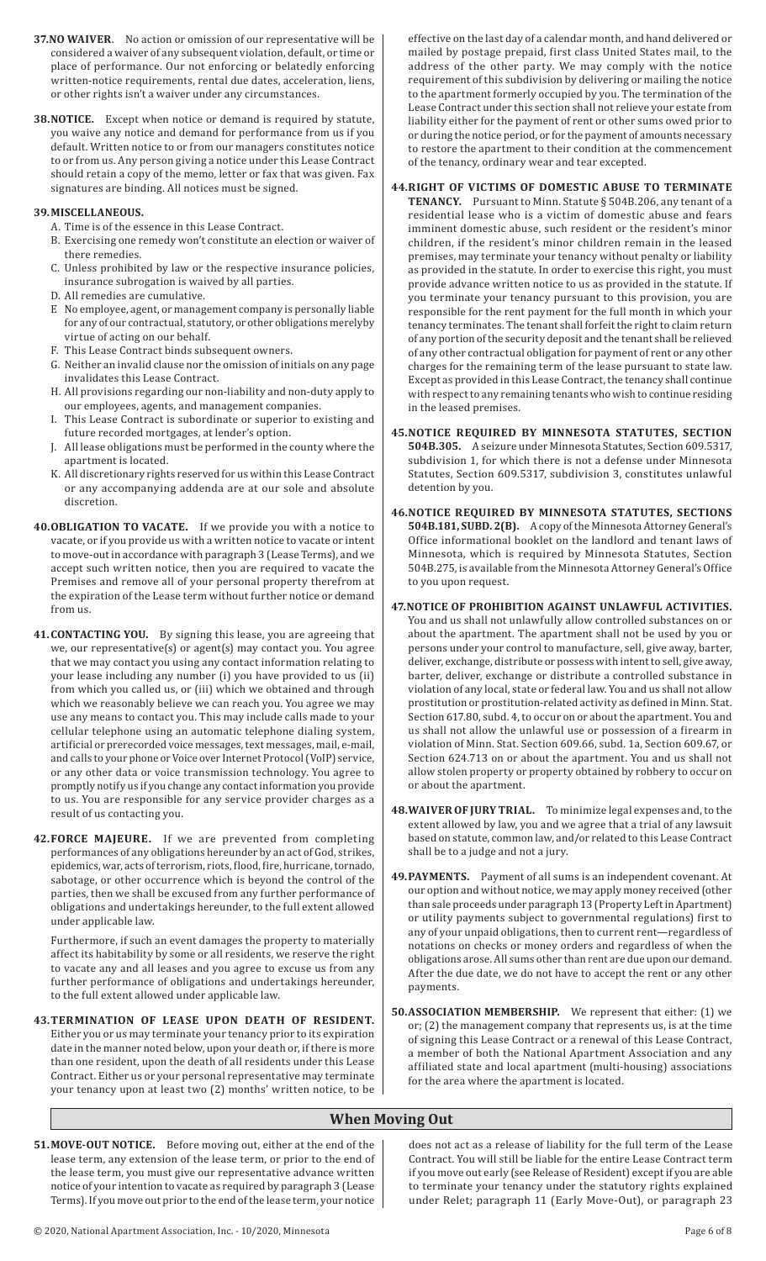- **37.NO WAIVER**. No action or omission of our representative will be considered a waiver of any subsequent violation, default, or time or place of performance. Our not enforcing or belatedly enforcing written-notice requirements, rental due dates, acceleration, liens, or other rights isn't a waiver under any circumstances.
- **38.NOTICE.** Except when notice or demand is required by statute, you waive any notice and demand for performance from us if you default. Written notice to or from our managers constitutes notice to or from us. Any person giving a notice under this Lease Contract should retain a copy of the memo, letter or fax that was given. Fax signatures are binding. All notices must be signed.

#### **39.MISCELLANEOUS.**

- A. Time is of the essence in this Lease Contract.
- B. Exercising one remedy won't constitute an election or waiver of there remedies.
- C. Unless prohibited by law or the respective insurance policies, insurance subrogation is waived by all parties.
- D. All remedies are cumulative.
- E No employee, agent, or management company is personally liable for any of our contractual, statutory, or other obligations merelyby virtue of acting on our behalf.
- F. This Lease Contract binds subsequent owners.
- G. Neither an invalid clause nor the omission of initials on any page invalidates this Lease Contract.
- H. All provisions regarding our non-liability and non-duty apply to our employees, agents, and management companies.
- I. This Lease Contract is subordinate or superior to existing and future recorded mortgages, at lender's option.
- J. All lease obligations must be performed in the county where the apartment is located.
- K. All discretionary rights reserved for us within this Lease Contract or any accompanying addenda are at our sole and absolute discretion.
- **40.OBLIGATION TO VACATE.** If we provide you with a notice to vacate, or if you provide us with a written notice to vacate or intent to move-out in accordance with paragraph 3 (Lease Terms), and we accept such written notice, then you are required to vacate the Premises and remove all of your personal property therefrom at the expiration of the Lease term without further notice or demand from us.
- **41.CONTACTING YOU.** By signing this lease, you are agreeing that we, our representative(s) or agent(s) may contact you. You agree that we may contact you using any contact information relating to your lease including any number (i) you have provided to us (ii) from which you called us, or (iii) which we obtained and through which we reasonably believe we can reach you. You agree we may use any means to contact you. This may include calls made to your cellular telephone using an automatic telephone dialing system, artificial or prerecorded voice messages, text messages, mail, e-mail, and calls to your phone or Voice over Internet Protocol(VoIP) service, or any other data or voice transmission technology. You agree to promptly notify us if you change any contactinformation you provide to us. You are responsible for any service provider charges as a result of us contacting you.
- **42.FORCE MAJEURE.** If we are prevented from completing performances of any obligations hereunder by an act of God, strikes, epidemics, war, acts of terrorism, riots, flood, fire, hurricane, tornado, sabotage, or other occurrence which is beyond the control of the parties, then we shall be excused from any further performance of obligations and undertakings hereunder, to the full extent allowed under applicable law.

Furthermore, if such an event damages the property to materially affect its habitability by some or all residents, we reserve the right to vacate any and all leases and you agree to excuse us from any further performance of obligations and undertakings hereunder, to the full extent allowed under applicable law.

**43.TERMINATION OF LEASE UPON DEATH OF RESIDENT.** Either you or us may terminate your tenancy prior to its expiration date in the manner noted below, upon your death or, if there is more than one resident, upon the death of all residents under this Lease Contract. Either us or your personal representative may terminate your tenancy upon at least two (2) months' written notice, to be effective on the last day of a calendar month, and hand delivered or mailed by postage prepaid, first class United States mail, to the address of the other party. We may comply with the notice requirement of this subdivision by delivering or mailing the notice to the apartment formerly occupied by you. The termination of the Lease Contract under this section shall not relieve your estate from liability either for the payment of rent or other sums owed prior to or during the notice period, or for the payment of amounts necessary to restore the apartment to their condition at the commencement of the tenancy, ordinary wear and tear excepted.

#### **44.RIGHT OF VICTIMS OF DOMESTIC ABUSE TO TERMINATE TENANCY.** Pursuant to Minn. Statute § 504B.206, any tenant of a residential lease who is a victim of domestic abuse and fears imminent domestic abuse, such resident or the resident's minor children, if the resident's minor children remain in the leased premises, may terminate your tenancy without penalty or liability as provided in the statute. In order to exercise this right, you must provide advance written notice to us as provided in the statute. If you terminate your tenancy pursuant to this provision, you are responsible for the rent payment for the full month in which your tenancy terminates. The tenant shall forfeit the right to claim return of any portion of the security deposit and the tenant shall be relieved of any other contractual obligation for payment of rent or any other charges for the remaining term of the lease pursuant to state law. Except as provided in this Lease Contract, the tenancy shall continue with respect to any remaining tenants who wish to continue residing in the leased premises.

- **45.NOTICE REQUIRED BY MINNESOTA STATUTES, SECTION 504B.305.** A seizure under Minnesota Statutes, Section 609.5317, subdivision 1, for which there is not a defense under Minnesota Statutes, Section 609.5317, subdivision 3, constitutes unlawful detention by you.
- **46.NOTICE REQUIRED BY MINNESOTA STATUTES, SECTIONS 504B.181, SUBD. 2(B).** A copy ofthe Minnesota Attorney General's Office informational booklet on the landlord and tenant laws of Minnesota, which is required by Minnesota Statutes, Section 504B.275, is available from the Minnesota Attorney General's Office to you upon request.
- **47.NOTICE OF PROHIBITION AGAINST UNLAWFUL ACTIVITIES.** You and us shall not unlawfully allow controlled substances on or about the apartment. The apartment shall not be used by you or persons under your control to manufacture, sell, give away, barter, deliver, exchange, distribute or possess with intent to sell, give away, barter, deliver, exchange or distribute a controlled substance in violation of any local, state or federal law. You and us shall not allow prostitution or prostitution-related activity as defined in Minn. Stat. Section 617.80, subd. 4, to occur on or about the apartment. You and us shall not allow the unlawful use or possession of a firearm in violation of Minn. Stat. Section 609.66, subd. 1a, Section 609.67, or Section 624.713 on or about the apartment. You and us shall not allow stolen property or property obtained by robbery to occur on or about the apartment.
- **48.WAIVER OF JURY TRIAL.** To minimize legal expenses and, to the extent allowed by law, you and we agree that a trial of any lawsuit based on statute, common law, and/or related to this Lease Contract shall be to a judge and not a jury.
- **49.PAYMENTS.** Payment of all sums is an independent covenant. At our option and without notice, we may apply money received (other than sale proceeds under paragraph 13 (Property Leftin Apartment) or utility payments subject to governmental regulations) first to any of your unpaid obligations, then to current rent—regardless of notations on checks or money orders and regardless of when the obligations arose. All sums other than rent are due upon our demand. After the due date, we do not have to accept the rent or any other payments.
- **50.ASSOCIATION MEMBERSHIP.** We represent that either: (1) we or; (2) the management company that represents us, is at the time of signing this Lease Contract or a renewal of this Lease Contract, a member of both the National Apartment Association and any affiliated state and local apartment (multi-housing) associations for the area where the apartment is located.

## **When Moving Out**

**51.MOVE-OUT NOTICE.** Before moving out, either at the end of the lease term, any extension of the lease term, or prior to the end of the lease term, you must give our representative advance written notice of your intention to vacate as required by paragraph 3 (Lease Terms). If you move out prior to the end ofthe lease term, your notice does not act as a release of liability for the full term of the Lease Contract. You will still be liable for the entire Lease Contract term if you move out early (see Release of Resident) except if you are able to terminate your tenancy under the statutory rights explained under Relet; paragraph 11 (Early Move-Out), or paragraph 23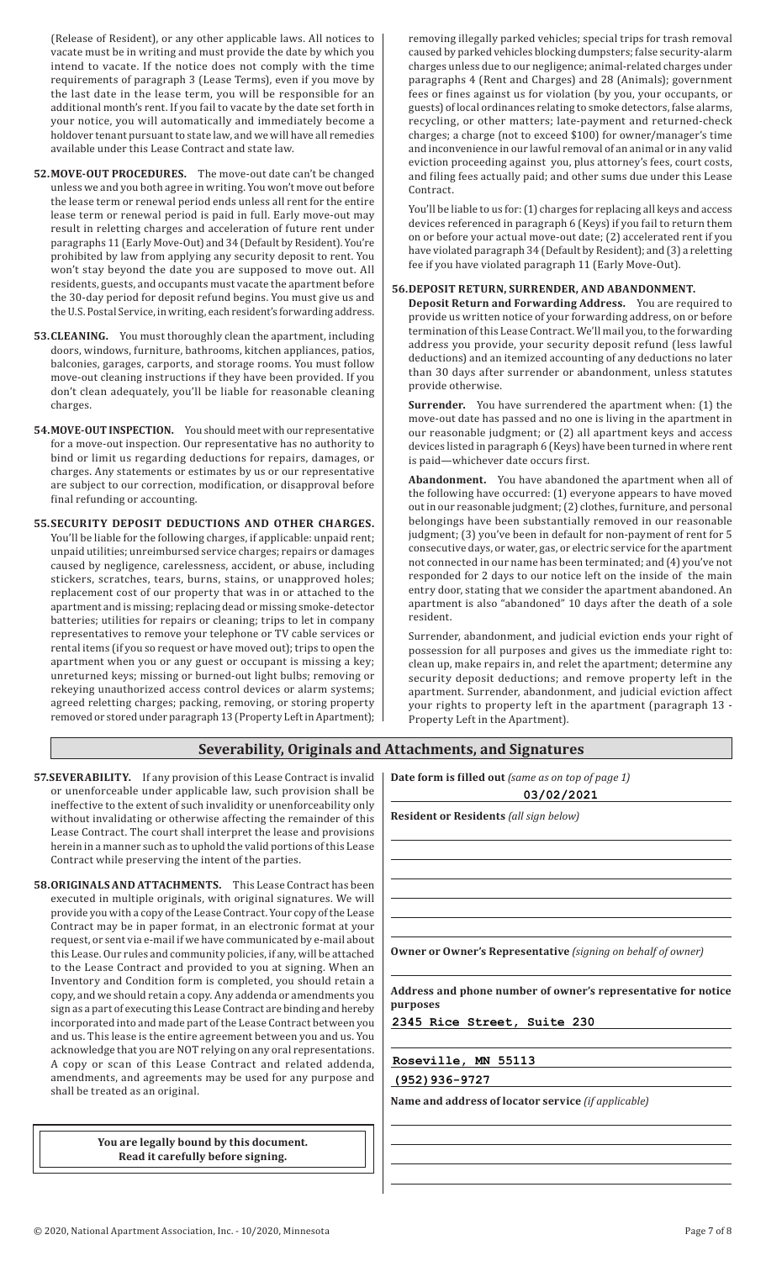(Release of Resident), or any other applicable laws. All notices to vacate must be in writing and must provide the date by which you intend to vacate. If the notice does not comply with the time requirements of paragraph 3 (Lease Terms), even if you move by the last date in the lease term, you will be responsible for an additional month's rent. If you fail to vacate by the date set forth in your notice, you will automatically and immediately become a holdover tenant pursuant to state law, and we will have all remedies available under this Lease Contract and state law.

- **52.MOVE-OUT PROCEDURES.** The move-out date can't be changed unless we and you both agree in writing. You won't move out before the lease term or renewal period ends unless all rent for the entire lease term or renewal period is paid in full. Early move-out may result in reletting charges and acceleration of future rent under paragraphs 11 (Early Move-Out) and 34 (Default by Resident). You're prohibited by law from applying any security deposit to rent. You won't stay beyond the date you are supposed to move out. All residents, guests, and occupants must vacate the apartment before the 30-day period for deposit refund begins. You must give us and the U.S. Postal Service, in writing, each resident's forwarding address.
- **53.CLEANING.** You must thoroughly clean the apartment, including doors, windows, furniture, bathrooms, kitchen appliances, patios, balconies, garages, carports, and storage rooms. You must follow move-out cleaning instructions if they have been provided. If you don't clean adequately, you'll be liable for reasonable cleaning charges.
- **54.MOVE-OUT INSPECTION.** You should meet with our representative for a move-out inspection. Our representative has no authority to bind or limit us regarding deductions for repairs, damages, or charges. Any statements or estimates by us or our representative are subject to our correction, modification, or disapproval before final refunding or accounting.
- **55.SECURITY DEPOSIT DEDUCTIONS AND OTHER CHARGES.** You'll be liable for the following charges, if applicable: unpaid rent; unpaid utilities; unreimbursed service charges; repairs or damages caused by negligence, carelessness, accident, or abuse, including stickers, scratches, tears, burns, stains, or unapproved holes; replacement cost of our property that was in or attached to the apartment and is missing; replacing dead or missing smoke-detector batteries; utilities for repairs or cleaning; trips to let in company representatives to remove your telephone or TV cable services or rental items (if you so request or have moved out); trips to open the apartment when you or any guest or occupant is missing a key; unreturned keys; missing or burned-out light bulbs; removing or rekeying unauthorized access control devices or alarm systems; agreed reletting charges; packing, removing, or storing property removed or stored under paragraph 13 (Property Leftin Apartment);

removing illegally parked vehicles; special trips for trash removal caused by parked vehicles blocking dumpsters; false security-alarm charges unless due to our negligence; animal-related charges under paragraphs 4 (Rent and Charges) and 28 (Animals); government fees or fines against us for violation (by you, your occupants, or guests) of local ordinances relating to smoke detectors, false alarms, recycling, or other matters; late-payment and returned-check charges; a charge (not to exceed \$100) for owner/manager's time and inconvenience in our lawful removal of an animal or in any valid eviction proceeding against you, plus attorney's fees, court costs, and filing fees actually paid; and other sums due under this Lease Contract.

You'll be liable to us for: (1) charges for replacing all keys and access devices referenced in paragraph 6 (Keys) if you fail to return them on or before your actual move-out date; (2) accelerated rent if you have violated paragraph 34 (Default by Resident); and (3) a reletting fee if you have violated paragraph 11 (Early Move-Out).

### **56.DEPOSIT RETURN, SURRENDER, AND ABANDONMENT.**

**Deposit Return and Forwarding Address.** You are required to provide us written notice of your forwarding address, on or before termination of this Lease Contract. We'll mail you, to the forwarding address you provide, your security deposit refund (less lawful deductions) and an itemized accounting of any deductions no later than 30 days after surrender or abandonment, unless statutes provide otherwise.

**Surrender.** You have surrendered the apartment when: (1) the move-out date has passed and no one is living in the apartment in our reasonable judgment; or (2) all apartment keys and access devices listed in paragraph 6 (Keys) have been turned in where rent is paid—whichever date occurs first.

**Abandonment.** You have abandoned the apartment when all of the following have occurred: (1) everyone appears to have moved out in our reasonable judgment;(2) clothes, furniture, and personal belongings have been substantially removed in our reasonable judgment; (3) you've been in default for non-payment of rent for 5 consecutive days, or water, gas, or electric service for the apartment not connected in our name has been terminated; and (4) you've not responded for 2 days to our notice left on the inside of the main entry door, stating that we consider the apartment abandoned. An apartment is also "abandoned" 10 days after the death of a sole resident. 

Surrender, abandonment, and judicial eviction ends your right of possession for all purposes and gives us the immediate right to: clean up, make repairs in, and relet the apartment; determine any security deposit deductions; and remove property left in the apartment. Surrender, abandonment, and judicial eviction affect your rights to property left in the apartment (paragraph 13 - Property Left in the Apartment).

# **Severability, Originals and Attachments, and Signatures**

- **57.SEVERABILITY.** If any provision of this Lease Contract is invalid | or unenforceable under applicable law, such provision shall be ineffective to the extent of such invalidity or unenforceability only without invalidating or otherwise affecting the remainder of this Lease Contract. The court shall interpret the lease and provisions herein in a manner such as to uphold the valid portions of this Lease Contract while preserving the intent of the parties.
- **58.ORIGINALS AND ATTACHMENTS.** This Lease Contract has been executed in multiple originals, with original signatures. We will provide you with a copy ofthe Lease Contract. Your copy ofthe Lease Contract may be in paper format, in an electronic format at your request, or sent via e-mail if we have communicated by e-mail about this Lease. Our rules and community policies, if any, will be attached to the Lease Contract and provided to you at signing. When an Inventory and Condition form is completed, you should retain a copy, and we should retain a copy. Any addenda or amendments you sign as a part of executing this Lease Contract are binding and hereby incorporated into and made part of the Lease Contract between you and us. This lease is the entire agreement between you and us. You acknowledge that you are NOT relying on any oral representations. A copy or scan of this Lease Contract and related addenda, amendments, and agreements may be used for any purpose and shall be treated as an original.

**You are legally bound by this document. Read it carefully before signing.**

| Date form is filled out (same as on top of page 1) |  |  |
|----------------------------------------------------|--|--|
|----------------------------------------------------|--|--|

|          | 03/02/2021                                                          |
|----------|---------------------------------------------------------------------|
|          | <b>Resident or Residents</b> (all sign below)                       |
|          |                                                                     |
|          |                                                                     |
|          |                                                                     |
|          |                                                                     |
|          |                                                                     |
|          | <b>Owner or Owner's Representative</b> (signing on behalf of owner) |
|          | Address and phone number of owner's representative for notice       |
| purposes | 2345 Rice Street, Suite 230                                         |
|          | Roseville, MN 55113                                                 |
|          | $(952)$ 936-9727                                                    |